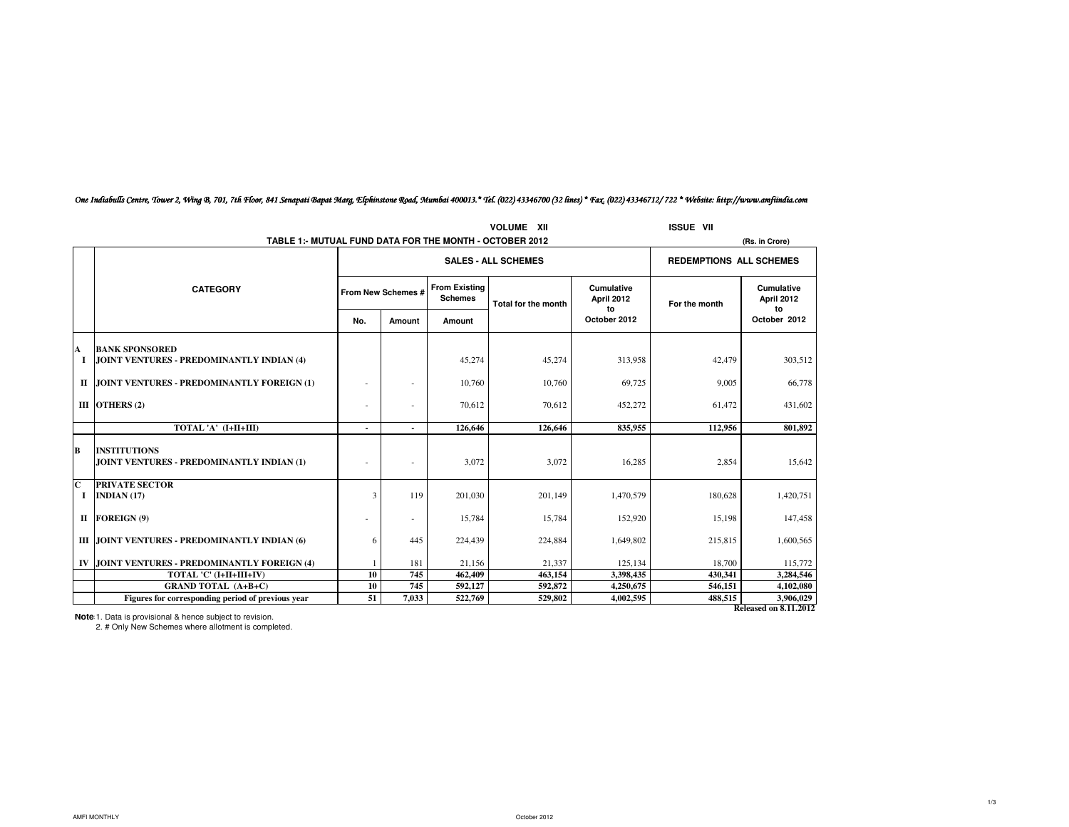|                              | <b>VOLUME</b><br>- XII                                           |     |                    |                            |                                             |                                |               | <b>ISSUE VII</b>                      |  |
|------------------------------|------------------------------------------------------------------|-----|--------------------|----------------------------|---------------------------------------------|--------------------------------|---------------|---------------------------------------|--|
|                              | TABLE 1:- MUTUAL FUND DATA FOR THE MONTH - OCTOBER 2012          |     |                    |                            |                                             |                                |               | (Rs. in Crore)                        |  |
|                              |                                                                  |     |                    | <b>SALES - ALL SCHEMES</b> |                                             | <b>REDEMPTIONS ALL SCHEMES</b> |               |                                       |  |
|                              | <b>CATEGORY</b>                                                  |     | From New Schemes # |                            | <b>From Existing</b><br>Total for the month | Cumulative<br>April 2012<br>to | For the month | Cumulative<br><b>April 2012</b><br>to |  |
|                              |                                                                  | No. | Amount             | Amount                     |                                             | October 2012                   |               | October 2012                          |  |
| A                            | <b>BANK SPONSORED</b>                                            |     |                    |                            |                                             |                                |               |                                       |  |
| 1                            | JOINT VENTURES - PREDOMINANTLY INDIAN (4)                        |     |                    | 45,274                     | 45,274                                      | 313,958                        | 42,479        | 303,512                               |  |
| п                            | JOINT VENTURES - PREDOMINANTLY FOREIGN (1)                       |     |                    | 10,760                     | 10,760                                      | 69,725                         | 9,005         | 66,778                                |  |
|                              | III OTHERS (2)                                                   |     |                    | 70,612                     | 70,612                                      | 452,272                        | 61,472        | 431,602                               |  |
|                              | TOTAL 'A' (I+II+III)                                             |     | $\blacksquare$     | 126,646                    | 126,646                                     | 835,955                        | 112,956       | 801,892                               |  |
| B                            | <b>INSTITUTIONS</b><br>JOINT VENTURES - PREDOMINANTLY INDIAN (1) |     |                    | 3,072                      | 3,072                                       | 16,285                         | 2,854         | 15,642                                |  |
| $\overline{\mathbf{c}}$<br>1 | <b>PRIVATE SECTOR</b><br><b>INDIAN (17)</b>                      | 3   | 119                | 201,030                    | 201.149                                     | 1,470,579                      | 180,628       | 1,420,751                             |  |
|                              | II FOREIGN (9)                                                   |     | ٠                  | 15,784                     | 15,784                                      | 152,920                        | 15.198        | 147,458                               |  |
|                              | III JOINT VENTURES - PREDOMINANTLY INDIAN (6)                    | 6   | 445                | 224,439                    | 224,884                                     | 1,649,802                      | 215,815       | 1,600,565                             |  |
|                              | IV JOINT VENTURES - PREDOMINANTLY FOREIGN (4)                    |     | 181                | 21,156                     | 21,337                                      | 125.134                        | 18,700        | 115,772                               |  |
|                              | TOTAL 'C' (I+II+III+IV)                                          | 10  | 745                | 462,409                    | 463,154                                     | 3,398,435                      | 430.341       | 3,284,546                             |  |
|                              | <b>GRAND TOTAL (A+B+C)</b>                                       | 10  | 745                | 592,127                    | 592,872                                     | 4,250,675                      | 546,151       | 4,102,080                             |  |
|                              | Figures for corresponding period of previous year                | 51  | 7,033              | 522,769                    | 529,802                                     | 4,002,595                      | 488,515       | 3,906,029                             |  |
|                              |                                                                  |     |                    |                            |                                             |                                |               | <b>Released on 8.11.2012</b>          |  |

## One Indiabulls Centre, Tower 2, Wing B, 701, 7th Floor, 841 Senapati Bapat Marg, Elphinstone Road, Mumbai 400013.\* Tel. (022) 43346700 (32 lines) \* Fax. (022) 43346712/ 722 \* Website: http://www.amfiindia.com

**Note**: 1. Data is provisional & hence subject to revision.

2. # Only New Schemes where allotment is completed.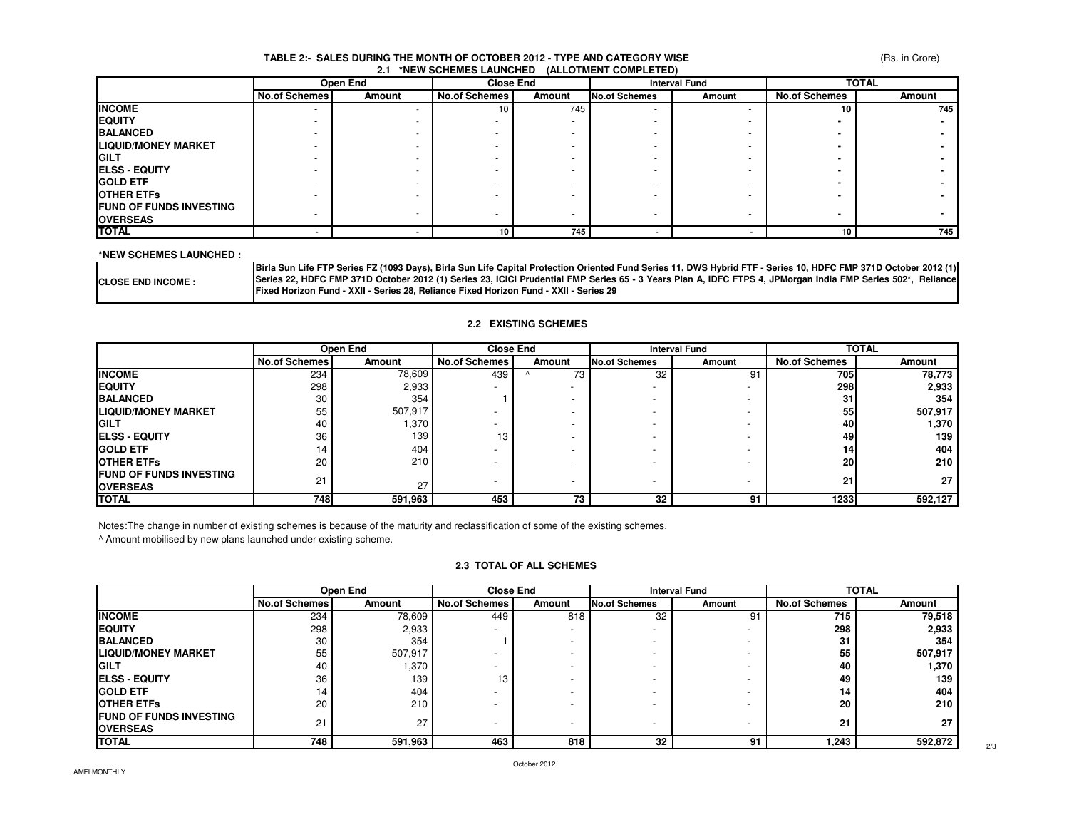#### (Rs. in Crore)

#### **TABLE 2:- SALES DURING THE MONTH OF OCTOBER 2012 - TYPE AND CATEGORY WISE2.1 \*NEW SCHEMES LAUNCHED (ALLOTMENT COMPLETED)**

|                                 | Open End             |        | <b>Close End</b>     |                          |                      | <b>Interval Fund</b> |                      | <b>TOTAL</b> |
|---------------------------------|----------------------|--------|----------------------|--------------------------|----------------------|----------------------|----------------------|--------------|
|                                 | <b>No.of Schemes</b> | Amount | <b>No.of Schemes</b> | Amount                   | <b>No.of Schemes</b> | Amount               | <b>No.of Schemes</b> | Amount       |
| <b>INCOME</b>                   | $\mathbf{r}$         |        | 10                   | 745                      |                      |                      | 10                   | 745          |
| <b>IEQUITY</b>                  |                      |        |                      |                          |                      |                      |                      |              |
| <b>BALANCED</b>                 |                      |        |                      |                          |                      |                      |                      |              |
| <b>ILIQUID/MONEY MARKET</b>     |                      |        |                      |                          |                      |                      |                      |              |
| <b>IGILT</b>                    |                      |        |                      | $\overline{\phantom{a}}$ |                      |                      |                      |              |
| <b>ELSS - EQUITY</b>            |                      |        |                      |                          |                      |                      |                      |              |
| <b>GOLD ETF</b>                 |                      |        |                      |                          |                      |                      |                      |              |
| <b>OTHER ETFS</b>               |                      |        |                      |                          |                      |                      |                      |              |
| <b>IFUND OF FUNDS INVESTING</b> |                      |        |                      |                          |                      |                      |                      |              |
| <b>OVERSEAS</b>                 |                      |        |                      |                          |                      |                      |                      |              |
| <b>TOTAL</b>                    |                      |        | 10                   | 745                      |                      |                      | 10 <sub>1</sub>      | 745          |

#### **\*NEW SCHEMES LAUNCHED :**

|                           | [13] Birla Sun Life FTP Series FZ (1093 Days), Birla Sun Life Capital Protection Oriented Fund Series 11, DWS Hybrid FTF - Series 10, HDFC FMP 371D October 2012 |
|---------------------------|------------------------------------------------------------------------------------------------------------------------------------------------------------------|
| <b>CLOSE END INCOME :</b> | Series 22. HDFC FMP 371D October 2012 (1) Series 23. ICICI Prudential FMP Series 65 - 3 Years Plan A. IDFC FTPS 4. JPMorgan India FMP Series 502*. Reliance      |
|                           | <b>IFixed Horizon Fund - XXII - Series 28. Reliance Fixed Horizon Fund - XXII - Series 29</b>                                                                    |

#### **2.2 EXISTING SCHEMES**

|                                 | Open End             |         | <b>Close End</b>     |                          |                          | <b>TOTAL</b><br><b>Interval Fund</b> |                      |         |
|---------------------------------|----------------------|---------|----------------------|--------------------------|--------------------------|--------------------------------------|----------------------|---------|
|                                 | <b>No.of Schemes</b> | Amount  | <b>No.of Schemes</b> | Amount                   | <b>No.of Schemes</b>     | Amount                               | <b>No.of Schemes</b> | Amount  |
| <b>INCOME</b>                   | 234                  | 78,609  | 439                  | 73                       | 32                       | 91                                   | 705                  | 78,773  |
| <b>IEQUITY</b>                  | 298                  | 2,933   | <b>.</b>             | $\overline{\phantom{a}}$ |                          |                                      | 298                  | 2,933   |
| <b>BALANCED</b>                 | 30                   | 354     |                      |                          |                          |                                      | 31                   | 354     |
| <b>LIQUID/MONEY MARKET</b>      | 55                   | 507,917 |                      | $\overline{\phantom{a}}$ |                          | $\overline{\phantom{a}}$             | 55                   | 507,917 |
| <b>IGILT</b>                    | 40                   | 1,370   |                      |                          |                          |                                      | 40I                  | 1,370   |
| <b>IELSS - EQUITY</b>           | 36                   | 139     | 13                   |                          |                          |                                      | 49                   | 139     |
| <b>IGOLD ETF</b>                | 14                   | 404     |                      |                          |                          |                                      | 14                   | 404     |
| <b>IOTHER ETFS</b>              | 20                   | 210     |                      |                          |                          | $\overline{\phantom{0}}$             | 20                   | 210     |
| <b>IFUND OF FUNDS INVESTING</b> | 21                   |         |                      |                          |                          |                                      |                      |         |
| <b>IOVERSEAS</b>                |                      | 27      |                      | $\overline{\phantom{a}}$ | $\overline{\phantom{0}}$ | $\overline{\phantom{a}}$             | 21                   | 27      |
| <b>TOTAL</b>                    | 748                  | 591,963 | 453                  | 73                       | 32                       | 91                                   | 1233                 | 592,127 |

Notes:The change in number of existing schemes is because of the maturity and reclassification of some of the existing schemes.

^ Amount mobilised by new plans launched under existing scheme.

### **2.3 TOTAL OF ALL SCHEMES**

|                                 | Open End             |         | <b>Close End</b>     |                          |                      | <b>TOTAL</b><br><b>Interval Fund</b> |                      |         |
|---------------------------------|----------------------|---------|----------------------|--------------------------|----------------------|--------------------------------------|----------------------|---------|
|                                 | <b>No.of Schemes</b> | Amount  | <b>No.of Schemes</b> | Amount                   | <b>No.of Schemes</b> | Amount                               | <b>No.of Schemes</b> | Amount  |
| <b>INCOME</b>                   | 234                  | 78,609  | 449                  | 818                      | 32                   | 91                                   | 715                  | 79,518  |
| <b>IEQUITY</b>                  | 298                  | 2,933   |                      | ۰                        | -                    | ۰                                    | 298                  | 2,933   |
| <b>BALANCED</b>                 | 30                   | 354     |                      | $\overline{\phantom{a}}$ |                      |                                      | 31                   | 354     |
| <b>LIQUID/MONEY MARKET</b>      | 55                   | 507,917 |                      |                          |                      |                                      | 55                   | 507,917 |
| <b>IGILT</b>                    | 40                   | 1,370   |                      | -                        |                      |                                      | 40                   | 1,370   |
| <b>IELSS - EQUITY</b>           | 36                   | 139     | 13                   | -                        |                      |                                      | 49                   | 139     |
| <b>IGOLD ETF</b>                | 14                   | 404     |                      | -                        |                      |                                      | 14                   | 404     |
| <b>IOTHER ETFS</b>              | 20                   | 210     |                      | -                        |                      |                                      | 20                   | 210     |
| <b>IFUND OF FUNDS INVESTING</b> | 21                   | 27      | -                    | $\overline{\phantom{0}}$ | -                    | -                                    | 21                   | 27      |
| <b>OVERSEAS</b>                 |                      |         |                      |                          |                      |                                      |                      |         |
| <b>TOTAL</b>                    | 748                  | 591,963 | 463                  | 818                      | 32                   | 91                                   | 243. ا               | 592,872 |